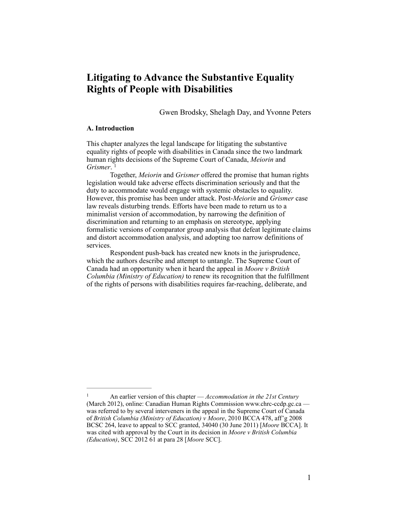# **Litigating to Advance the Substantive Equality Rights of People with Disabilities**

Gwen Brodsky, Shelagh Day, and Yvonne Peters

# **A. Introduction**

This chapter analyzes the legal landscape for litigating the substantive equality rights of people with disabilities in Canada since the two landmark human rights decisions of the Supreme Court of Canada, *Meiorin* and *Grismer*. 1

Together, *Meiorin* and *Grismer* offered the promise that human rights legislation would take adverse effects discrimination seriously and that the duty to accommodate would engage with systemic obstacles to equality. However, this promise has been under attack. Post-*Meiorin* and *Grismer* case law reveals disturbing trends. Efforts have been made to return us to a minimalist version of accommodation, by narrowing the definition of discrimination and returning to an emphasis on stereotype, applying formalistic versions of comparator group analysis that defeat legitimate claims and distort accommodation analysis, and adopting too narrow definitions of services.

Respondent push-back has created new knots in the jurisprudence, which the authors describe and attempt to untangle. The Supreme Court of Canada had an opportunity when it heard the appeal in *Moore v British Columbia (Ministry of Education)* to renew its recognition that the fulfillment of the rights of persons with disabilities requires far-reaching, deliberate, and

An earlier version of this chapter — *Accommodation in the 21st Century* <sup>1</sup> (March 2012), online: Canadian Human Rights Commission www.chrc-ccdp.gc.ca was referred to by several interveners in the appeal in the Supreme Court of Canada of *British Columbia (Ministry of Education) v Moore*, 2010 BCCA 478, aff'g 2008 BCSC 264, leave to appeal to SCC granted, 34040 (30 June 2011) [*Moore* BCCA]. It was cited with approval by the Court in its decision in *Moore v British Columbia (Education)*, SCC 2012 61 at para 28 [*Moore* SCC].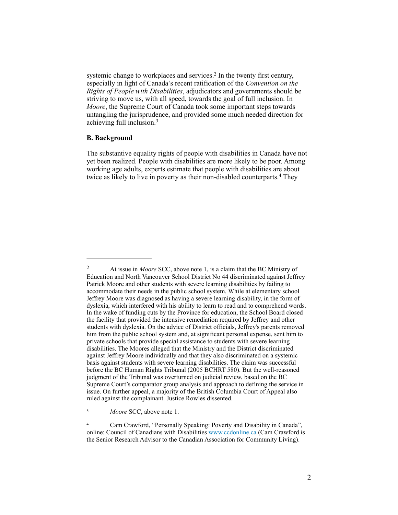systemic change to workplaces and services.<sup>2</sup> In the twenty first century, especially in light of Canada's recent ratification of the *Convention on the Rights of People with Disabilities*, adjudicators and governments should be striving to move us, with all speed, towards the goal of full inclusion. In *Moore*, the Supreme Court of Canada took some important steps towards untangling the jurisprudence, and provided some much needed direction for achieving full inclusion.3

# **B. Background**

The substantive equality rights of people with disabilities in Canada have not yet been realized. People with disabilities are more likely to be poor. Among working age adults, experts estimate that people with disabilities are about twice as likely to live in poverty as their non-disabled counterparts.<sup>4</sup> They

At issue in *Moore* SCC, above note 1, is a claim that the BC Ministry of 2 Education and North Vancouver School District No 44 discriminated against Jeffrey Patrick Moore and other students with severe learning disabilities by failing to accommodate their needs in the public school system. While at elementary school Jeffrey Moore was diagnosed as having a severe learning disability, in the form of dyslexia, which interfered with his ability to learn to read and to comprehend words. In the wake of funding cuts by the Province for education, the School Board closed the facility that provided the intensive remediation required by Jeffrey and other students with dyslexia. On the advice of District officials, Jeffrey's parents removed him from the public school system and, at significant personal expense, sent him to private schools that provide special assistance to students with severe learning disabilities. The Moores alleged that the Ministry and the District discriminated against Jeffrey Moore individually and that they also discriminated on a systemic basis against students with severe learning disabilities. The claim was successful before the BC Human Rights Tribunal (2005 BCHRT 580). But the well-reasoned judgment of the Tribunal was overturned on judicial review, based on the BC Supreme Court's comparator group analysis and approach to defining the service in issue. On further appeal, a majority of the British Columbia Court of Appeal also ruled against the complainant. Justice Rowles dissented.

<sup>&</sup>lt;sup>3</sup> Moore SCC, above note 1.

<sup>&</sup>lt;sup>4</sup> Cam Crawford, "Personally Speaking: Poverty and Disability in Canada", online: Council of Canadians with Disabilities [www.ccdonline.ca](http://www.ccdonline.ca) (Cam Crawford is the Senior Research Advisor to the Canadian Association for Community Living).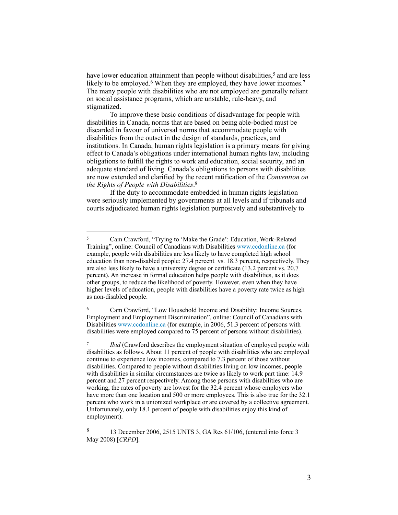have lower education attainment than people without disabilities,<sup>5</sup> and are less likely to be employed.<sup>6</sup> When they are employed, they have lower incomes.<sup>7</sup> The many people with disabilities who are not employed are generally reliant on social assistance programs, which are unstable, rule-heavy, and stigmatized.

To improve these basic conditions of disadvantage for people with disabilities in Canada, norms that are based on being able-bodied must be discarded in favour of universal norms that accommodate people with disabilities from the outset in the design of standards, practices, and institutions. In Canada, human rights legislation is a primary means for giving effect to Canada's obligations under international human rights law, including obligations to fulfill the rights to work and education, social security, and an adequate standard of living. Canada's obligations to persons with disabilities are now extended and clarified by the recent ratification of the *Convention on the Rights of People with Disabilities*. 8

If the duty to accommodate embedded in human rights legislation were seriously implemented by governments at all levels and if tribunals and courts adjudicated human rights legislation purposively and substantively to

 Cam Crawford, "Low Household Income and Disability: Income Sources, 6 Employment and Employment Discrimination", online: Council of Canadians with Disabilities [www.ccdonline.ca](http://www.ccdonline.ca) (for example, in 2006, 51.3 percent of persons with disabilities were employed compared to 75 percent of persons without disabilities).

<sup>&</sup>lt;sup>5</sup> Cam Crawford, "Trying to 'Make the Grade': Education, Work-Related Training", online: Council of Canadians with Disabilities [www.ccdonline.ca](http://www.ccdonline.ca) (for example, people with disabilities are less likely to have completed high school education than non-disabled people: 27.4 percent vs. 18.3 percent, respectively. They are also less likely to have a university degree or certificate (13.2 percent vs. 20.7 percent). An increase in formal education helps people with disabilities, as it does other groups, to reduce the likelihood of poverty. However, even when they have higher levels of education, people with disabilities have a poverty rate twice as high as non-disabled people.

*Ibid* (Crawford describes the employment situation of employed people with disabilities as follows. About 11 percent of people with disabilities who are employed continue to experience low incomes, compared to 7.3 percent of those without disabilities. Compared to people without disabilities living on low incomes, people with disabilities in similar circumstances are twice as likely to work part time: 14.9 percent and 27 percent respectively. Among those persons with disabilities who are working, the rates of poverty are lowest for the 32.4 percent whose employers who have more than one location and 500 or more employees. This is also true for the 32.1 percent who work in a unionized workplace or are covered by a collective agreement. Unfortunately, only 18.1 percent of people with disabilities enjoy this kind of employment).

<sup>&</sup>lt;sup>8</sup> 13 December 2006, 2515 UNTS 3, GA Res 61/106, (entered into force 3 May 2008) [*CRPD*].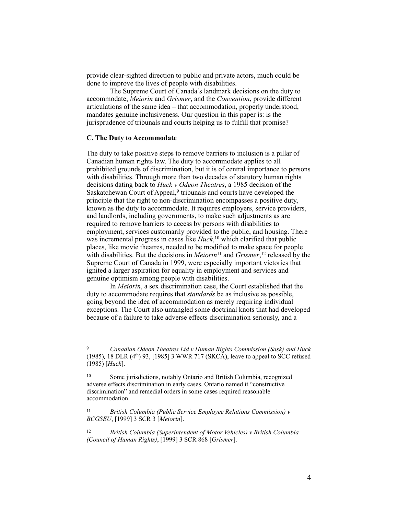provide clear-sighted direction to public and private actors, much could be done to improve the lives of people with disabilities.

The Supreme Court of Canada's landmark decisions on the duty to accommodate, *Meiorin* and *Grismer*, and the *Convention*, provide different articulations of the same idea – that accommodation, properly understood, mandates genuine inclusiveness. Our question in this paper is: is the jurisprudence of tribunals and courts helping us to fulfill that promise?

#### **C. The Duty to Accommodate**

The duty to take positive steps to remove barriers to inclusion is a pillar of Canadian human rights law. The duty to accommodate applies to all prohibited grounds of discrimination, but it is of central importance to persons with disabilities. Through more than two decades of statutory human rights decisions dating back to *Huck v Odeon Theatres*, a 1985 decision of the Saskatchewan Court of Appeal,<sup>9</sup> tribunals and courts have developed the principle that the right to non-discrimination encompasses a positive duty, known as the duty to accommodate. It requires employers, service providers, and landlords, including governments, to make such adjustments as are required to remove barriers to access by persons with disabilities to employment, services customarily provided to the public, and housing. There was incremental progress in cases like  $Huck$ , <sup>10</sup> which clarified that public places, like movie theatres, needed to be modified to make space for people with disabilities. But the decisions in *Meiorin*<sup>11</sup> and *Grismer*, <sup>12</sup> released by the Supreme Court of Canada in 1999, were especially important victories that ignited a larger aspiration for equality in employment and services and genuine optimism among people with disabilities.

In *Meiorin*, a sex discrimination case, the Court established that the duty to accommodate requires that *standards* be as inclusive as possible, going beyond the idea of accommodation as merely requiring individual exceptions. The Court also untangled some doctrinal knots that had developed because of a failure to take adverse effects discrimination seriously, and a

 *British Columbia (Public Service Employee Relations Commission) v* <sup>11</sup> *BCGSEU*, [1999] 3 SCR 3 [*Meiorin*].

 *British Columbia (Superintendent of Motor Vehicles) v British Columbia* <sup>12</sup> *(Council of Human Rights)*, [1999] 3 SCR 868 [*Grismer*].

*Canadian Odeon Theatres Ltd v Human Rights Commission (Sask) and Huck* <sup>9</sup> (1985)*,* 18 DLR (4th) 93, [1985] 3 WWR 717 (SKCA), leave to appeal to SCC refused (1985) [*Huck*].

<sup>&</sup>lt;sup>10</sup> Some jurisdictions, notably Ontario and British Columbia, recognized adverse effects discrimination in early cases. Ontario named it "constructive discrimination" and remedial orders in some cases required reasonable accommodation.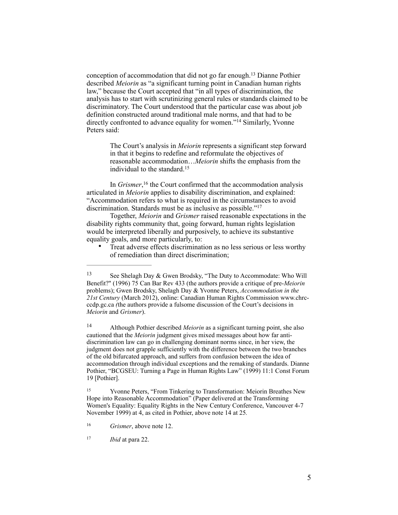conception of accommodation that did not go far enough.<sup>13</sup> Dianne Pothier described *Meiorin* as "a significant turning point in Canadian human rights law," because the Court accepted that "in all types of discrimination, the analysis has to start with scrutinizing general rules or standards claimed to be discriminatory. The Court understood that the particular case was about job definition constructed around traditional male norms, and that had to be directly confronted to advance equality for women."<sup>14</sup> Similarly, Yvonne Peters said:

> The Court's analysis in *Meiorin* represents a significant step forward in that it begins to redefine and reformulate the objectives of reasonable accommodation…*Meiorin* shifts the emphasis from the individual to the standard.15

In *Grismer*,<sup>16</sup> the Court confirmed that the accommodation analysis articulated in *Meiorin* applies to disability discrimination, and explained: "Accommodation refers to what is required in the circumstances to avoid discrimination. Standards must be as inclusive as possible."17

Together, *Meiorin* and *Grismer* raised reasonable expectations in the disability rights community that, going forward, human rights legislation would be interpreted liberally and purposively, to achieve its substantive equality goals, and more particularly, to:

• Treat adverse effects discrimination as no less serious or less worthy of remediation than direct discrimination;

 Although Pothier described *Meiorin* as a significant turning point, she also 14 cautioned that the *Meiorin* judgment gives mixed messages about how far antidiscrimination law can go in challenging dominant norms since, in her view, the judgment does not grapple sufficiently with the difference between the two branches of the old bifurcated approach, and suffers from confusion between the idea of accommodation through individual exceptions and the remaking of standards. Dianne Pothier, "BCGSEU: Turning a Page in Human Rights Law" (1999) 11:1 Const Forum 19 [Pothier].

<sup>&</sup>lt;sup>13</sup> See Shelagh Day & Gwen Brodsky, "The Duty to Accommodate: Who Will Benefit?" (1996) 75 Can Bar Rev 433 (the authors provide a critique of pre-*Meiorin* problems); Gwen Brodsky, Shelagh Day & Yvonne Peters, *Accommodation in the 21st Century* [\(March 2012\), online: Canadian Human Rights Commission www.chrc](http://www.chrc-ccdp.gc.ca)ccdp.gc.ca *(*the authors provide a fulsome discussion of the Court's decisions in *Meiorin* and *Grismer*).

<sup>&</sup>lt;sup>15</sup> Yvonne Peters, "From Tinkering to Transformation: Meiorin Breathes New Hope into Reasonable Accommodation" (Paper delivered at the Transforming Women's Equality: Equality Rights in the New Century Conference, Vancouver 4-7 November 1999) at 4, as cited in Pothier, above note 14 at 25*.*

<sup>&</sup>lt;sup>16</sup> *Grismer*, above note 12.

<sup>&</sup>lt;sup>17</sup> *Ibid* at para 22.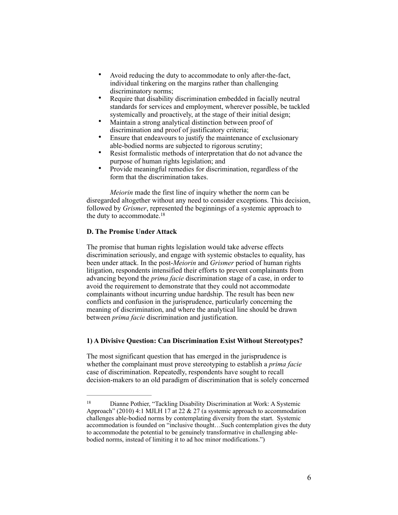- Avoid reducing the duty to accommodate to only after-the-fact, individual tinkering on the margins rather than challenging discriminatory norms;
- Require that disability discrimination embedded in facially neutral standards for services and employment, wherever possible, be tackled systemically and proactively, at the stage of their initial design;
- Maintain a strong analytical distinction between proof of discrimination and proof of justificatory criteria;
- Ensure that endeavours to justify the maintenance of exclusionary able-bodied norms are subjected to rigorous scrutiny;
- Resist formalistic methods of interpretation that do not advance the purpose of human rights legislation; and
- Provide meaningful remedies for discrimination, regardless of the form that the discrimination takes.

*Meiorin* made the first line of inquiry whether the norm can be disregarded altogether without any need to consider exceptions. This decision, followed by *Grismer*, represented the beginnings of a systemic approach to the duty to accommodate. 18

#### **D. The Promise Under Attack**

The promise that human rights legislation would take adverse effects discrimination seriously, and engage with systemic obstacles to equality, has been under attack. In the post-*Meiorin* and *Grismer* period of human rights litigation, respondents intensified their efforts to prevent complainants from advancing beyond the *prima facie* discrimination stage of a case, in order to avoid the requirement to demonstrate that they could not accommodate complainants without incurring undue hardship. The result has been new conflicts and confusion in the jurisprudence, particularly concerning the meaning of discrimination, and where the analytical line should be drawn between *prima facie* discrimination and justification.

# **1) A Divisive Question: Can Discrimination Exist Without Stereotypes?**

The most significant question that has emerged in the jurisprudence is whether the complainant must prove stereotyping to establish a *prima facie* case of discrimination. Repeatedly, respondents have sought to recall decision-makers to an old paradigm of discrimination that is solely concerned

<sup>&</sup>lt;sup>18</sup> Dianne Pothier, "Tackling Disability Discrimination at Work: A Systemic Approach" (2010) 4:1 MJLH 17 at 22  $& 27$  (a systemic approach to accommodation challenges able-bodied norms by contemplating diversity from the start. Systemic accommodation is founded on "inclusive thought…Such contemplation gives the duty to accommodate the potential to be genuinely transformative in challenging ablebodied norms, instead of limiting it to ad hoc minor modifications.")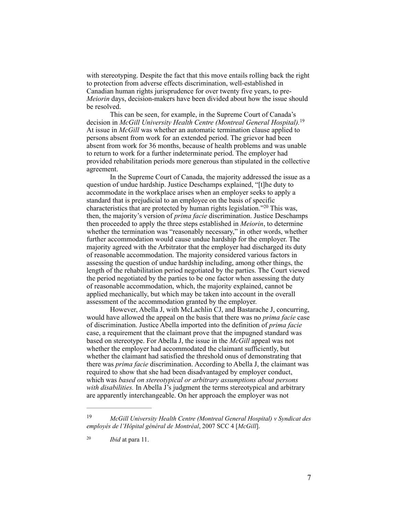with stereotyping. Despite the fact that this move entails rolling back the right to protection from adverse effects discrimination, well-established in Canadian human rights jurisprudence for over twenty five years, to pre-*Meiorin* days, decision-makers have been divided about how the issue should be resolved.

This can be seen, for example, in the Supreme Court of Canada's decision in *McGill University Health Centre (Montreal General Hospital).*<sup>19</sup> At issue in *McGill* was whether an automatic termination clause applied to persons absent from work for an extended period. The grievor had been absent from work for 36 months, because of health problems and was unable to return to work for a further indeterminate period. The employer had provided rehabilitation periods more generous than stipulated in the collective agreement.

In the Supreme Court of Canada, the majority addressed the issue as a question of undue hardship. Justice Deschamps explained, "[t]he duty to accommodate in the workplace arises when an employer seeks to apply a standard that is prejudicial to an employee on the basis of specific characteristics that are protected by human rights legislation."<sup>20</sup> This was, then, the majority's version of *prima facie* discrimination. Justice Deschamps then proceeded to apply the three steps established in *Meiorin*, to determine whether the termination was "reasonably necessary," in other words, whether further accommodation would cause undue hardship for the employer. The majority agreed with the Arbitrator that the employer had discharged its duty of reasonable accommodation. The majority considered various factors in assessing the question of undue hardship including, among other things, the length of the rehabilitation period negotiated by the parties. The Court viewed the period negotiated by the parties to be one factor when assessing the duty of reasonable accommodation, which, the majority explained, cannot be applied mechanically, but which may be taken into account in the overall assessment of the accommodation granted by the employer.

However, Abella J, with McLachlin CJ, and Bastarache J, concurring, would have allowed the appeal on the basis that there was no *prima facie* case of discrimination. Justice Abella imported into the definition of *prima facie* case, a requirement that the claimant prove that the impugned standard was based on stereotype. For Abella J, the issue in the *McGill* appeal was not whether the employer had accommodated the claimant sufficiently, but whether the claimant had satisfied the threshold onus of demonstrating that there was *prima facie* discrimination. According to Abella J, the claimant was required to show that she had been disadvantaged by employer conduct, which was *based on stereotypical or arbitrary assumptions about persons with disabilities.* In Abella J's judgment the terms stereotypical and arbitrary are apparently interchangeable. On her approach the employer was not

*McGill University Health Centre (Montreal General Hospital) v Syndicat des* <sup>19</sup> *employés de l'Hôpital général de Montréal*, 2007 SCC 4 [*McGill*].

*Ibid* at para 11. <sup>20</sup>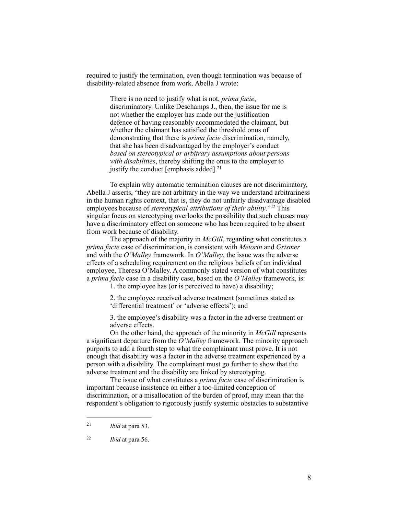required to justify the termination, even though termination was because of disability-related absence from work. Abella J wrote:

> There is no need to justify what is not, *prima facie*, discriminatory. Unlike Deschamps J., then, the issue for me is not whether the employer has made out the justification defence of having reasonably accommodated the claimant, but whether the claimant has satisfied the threshold onus of demonstrating that there is *prima facie* discrimination, namely, that she has been disadvantaged by the employer's conduct *based on stereotypical or arbitrary assumptions about persons with disabilities*, thereby shifting the onus to the employer to justify the conduct [emphasis added].<sup>21</sup>

To explain why automatic termination clauses are not discriminatory, Abella J asserts, "they are not arbitrary in the way we understand arbitrariness in the human rights context, that is, they do not unfairly disadvantage disabled employees because of *stereotypical attributions of their ability*."<sup>22</sup> This singular focus on stereotyping overlooks the possibility that such clauses may have a discriminatory effect on someone who has been required to be absent from work because of disability.

The approach of the majority in *McGill*, regarding what constitutes a *prima facie* case of discrimination, is consistent with *Meiorin* and *Grismer* and with the *O'Malley* framework. In *O'Malley*, the issue was the adverse effects of a scheduling requirement on the religious beliefs of an individual employee, Theresa O'Malley. A commonly stated version of what constitutes a *prima facie* case in a disability case, based on the *O'Malley* framework, is:

1. the employee has (or is perceived to have) a disability;

2. the employee received adverse treatment (sometimes stated as 'differential treatment' or 'adverse effects'); and

3. the employee's disability was a factor in the adverse treatment or adverse effects.

On the other hand, the approach of the minority in *McGill* represents a significant departure from the *O'Malley* framework. The minority approach purports to add a fourth step to what the complainant must prove. It is not enough that disability was a factor in the adverse treatment experienced by a person with a disability. The complainant must go further to show that the adverse treatment and the disability are linked by stereotyping.

The issue of what constitutes a *prima facie* case of discrimination is important because insistence on either a too-limited conception of discrimination, or a misallocation of the burden of proof, may mean that the respondent's obligation to rigorously justify systemic obstacles to substantive

 $21$  *Ibid* at para 53.

*Ibid* at para 56. <sup>22</sup>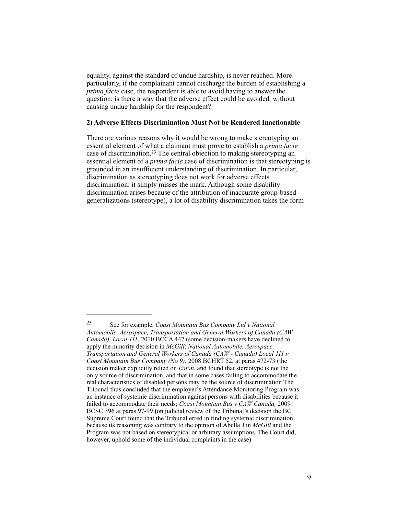equality, against the standard of undue hardship, is never reached. More particularly, if the complainant cannot discharge the burden of establishing a *prima facie* case, the respondent is able to avoid having to answer the question: is there a way that the adverse effect could be avoided, without causing undue hardship for the respondent?

#### **2) Adverse Effects Discrimination Must Not be Rendered Inactionable**

There are various reasons why it would be wrong to make stereotyping an essential element of what a claimant must prove to establish a *prima facie* case of discrimination.<sup>23</sup> The central objection to making stereotyping an essential element of a *prima facie* case of discrimination is that stereotyping is grounded in an insufficient understanding of discrimination. In particular, discrimination as stereotyping does not work for adverse effects discrimination: it simply misses the mark. Although some disability discrimination arises because of the attribution of inaccurate group-based generalizations (stereotype), a lot of disability discrimination takes the form

See for example, *Coast Mountain Bus Company Ltd v National* <sup>23</sup> *Automobile, Aerospace, Transportation and General Workers of Canada (CAW-Canada), Local 111*, 2010 BCCA 447 (some decision-makers have declined to apply the minority decision in *McGill*; *National Automobile, Aerospace, Transportation and General Workers of Canada (CAW - Canada) Local 111 v Coast Mountain Bus Company (No 9)*, 2008 BCHRT 52, at paras 472-73 (the decision maker explicitly relied on *Eaton*, and found that stereotype is not the only source of discrimination, and that in some cases failing to accommodate the real characteristics of disabled persons may be the source of discrimination The Tribunal thus concluded that the employer's Attendance Monitoring Program was an instance of systemic discrimination against persons with disabilities because it failed to accommodate their needs; *Coast Mountain Bus v CAW Canada,* 2009 BCSC 396 at paras 97-99 **(**on judicial review of the Tribunal's decision the BC Supreme Court found that the Tribunal erred in finding systemic discrimination because its reasoning was contrary to the opinion of Abella J in *McGill* and the Program was not based on stereotypical or arbitrary assumptions. The Court did, however, uphold some of the individual complaints in the case)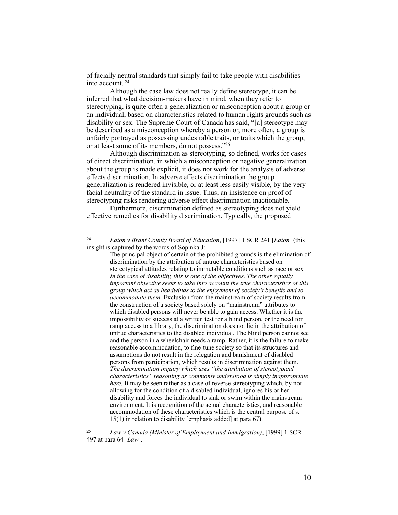of facially neutral standards that simply fail to take people with disabilities into account. 24

Although the case law does not really define stereotype, it can be inferred that what decision-makers have in mind, when they refer to stereotyping, is quite often a generalization or misconception about a group or an individual, based on characteristics related to human rights grounds such as disability or sex. The Supreme Court of Canada has said, "[a] stereotype may be described as a misconception whereby a person or, more often, a group is unfairly portrayed as possessing undesirable traits, or traits which the group, or at least some of its members, do not possess."<sup>25</sup>

Although discrimination as stereotyping, so defined, works for cases of direct discrimination, in which a misconception or negative generalization about the group is made explicit, it does not work for the analysis of adverse effects discrimination. In adverse effects discrimination the group generalization is rendered invisible, or at least less easily visible, by the very facial neutrality of the standard in issue. Thus, an insistence on proof of stereotyping risks rendering adverse effect discrimination inactionable.

Furthermore, discrimination defined as stereotyping does not yield effective remedies for disability discrimination. Typically, the proposed

*Eaton v Brant County Board of Education*, [1997] 1 SCR 241 [*Eaton*] (this 24 insight is captured by the words of Sopinka J:

The principal object of certain of the prohibited grounds is the elimination of discrimination by the attribution of untrue characteristics based on stereotypical attitudes relating to immutable conditions such as race or sex*. In the case of disability, this is one of the objectives. The other equally important objective seeks to take into account the true characteristics of this group which act as headwinds to the enjoyment of society's benefits and to accommodate them.* Exclusion from the mainstream of society results from the construction of a society based solely on "mainstream" attributes to which disabled persons will never be able to gain access. Whether it is the impossibility of success at a written test for a blind person, or the need for ramp access to a library, the discrimination does not lie in the attribution of untrue characteristics to the disabled individual. The blind person cannot see and the person in a wheelchair needs a ramp. Rather, it is the failure to make reasonable accommodation, to fine-tune society so that its structures and assumptions do not result in the relegation and banishment of disabled persons from participation, which results in discrimination against them. *The discrimination inquiry which uses "the attribution of stereotypical characteristics" reasoning as commonly understood is simply inappropriate here.* It may be seen rather as a case of reverse stereotyping which, by not allowing for the condition of a disabled individual, ignores his or her disability and forces the individual to sink or swim within the mainstream environment. It is recognition of the actual characteristics, and reasonable accommodation of these characteristics which is the central purpose of s. 15(1) in relation to disability [emphasis added] at para 67).

*Law v Canada (Minister of Employment and Immigration)*, [1999] 1 SCR 25 497 at para 64 [*Law*].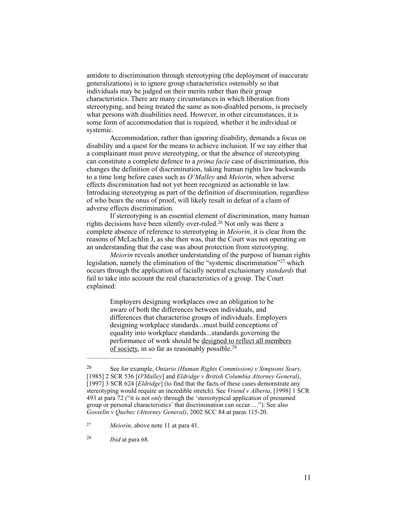antidote to discrimination through stereotyping (the deployment of inaccurate generalizations) is to ignore group characteristics ostensibly so that individuals may be judged on their merits rather than their group characteristics. There are many circumstances in which liberation from stereotyping, and being treated the same as non-disabled persons, is precisely what persons with disabilities need. However, in other circumstances, it is some form of accommodation that is required, whether it be individual or systemic.

Accommodation, rather than ignoring disability, demands a focus on disability and a quest for the means to achieve inclusion. If we say either that a complainant must prove stereotyping, or that the absence of stereotyping can constitute a complete defence to a *prima facie* case of discrimination, this changes the definition of discrimination, taking human rights law backwards to a time long before cases such as *O'Malley* and *Meiorin*, when adverse effects discrimination had not yet been recognized as actionable in law. Introducing stereotyping as part of the definition of discrimination, regardless of who bears the onus of proof, will likely result in defeat of a claim of adverse effects discrimination.

If stereotyping is an essential element of discrimination, many human rights decisions have been silently over-ruled.<sup>26</sup> Not only was there a complete absence of reference to stereotyping in *Meiorin*, it is clear from the reasons of McLachlin J, as she then was, that the Court was not operating on an understanding that the case was about protection from stereotyping.

*Meiorin* reveals another understanding of the purpose of human rights legislation, namely the elimination of the "systemic discrimination"<sup>27</sup> which occurs through the application of facially neutral exclusionary *standards* that fail to take into account the real characteristics of a group. The Court explained:

> Employers designing workplaces owe an obligation to be aware of both the differences between individuals, and differences that characterise groups of individuals. Employers designing workplace standards...must build conceptions of equality into workplace standards...standards governing the performance of work should be designed to reflect all members of society, in so far as reasonably possible. 28

*Ibid* at para 68. <sup>28</sup>

See for example, *Ontario (Human Rights Commission) v Simpsons Sears*, 26 [1985] 2 SCR 536 [*O'Malley*] and *Eldridge v British Columbia Attorney General)*, [1997] 3 SCR 624 [*Eldridge*] (to find that the facts of these cases demonstrate any stereotyping would require an incredible stretch). See *Vriend v Alberta*, [1998] 1 SCR 493 at para 72 ("it is not *only* through the 'stereotypical application of presumed group or personal characteristics' that discrimination can occur…."). See also *Gosselin v Quebec (Attorney General)*, 2002 SCC 84 at paras 115-20.

*Meiorin*, above note 11 at para 41. <sup>27</sup>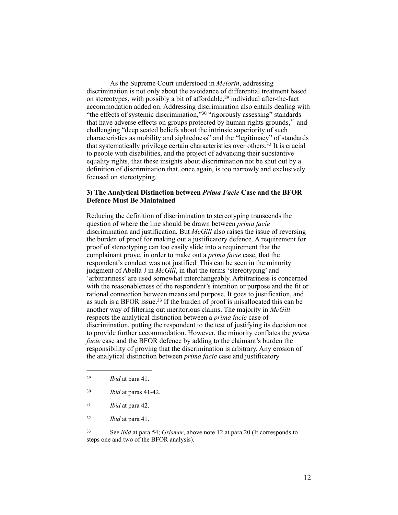As the Supreme Court understood in *Meiorin*, addressing discrimination is not only about the avoidance of differential treatment based on stereotypes, with possibly a bit of affordable,<sup>29</sup> individual after-the-fact accommodation added on. Addressing discrimination also entails dealing with "the effects of systemic discrimination,"<sup>30</sup> "rigorously assessing" standards that have adverse effects on groups protected by human rights grounds,  $31$  and challenging "deep seated beliefs about the intrinsic superiority of such characteristics as mobility and sightedness" and the "legitimacy" of standards that systematically privilege certain characteristics over others.<sup>32</sup> It is crucial to people with disabilities, and the project of advancing their substantive equality rights, that these insights about discrimination not be shut out by a definition of discrimination that, once again, is too narrowly and exclusively focused on stereotyping.

# **3) The Analytical Distinction between** *Prima Facie* **Case and the BFOR Defence Must Be Maintained**

Reducing the definition of discrimination to stereotyping transcends the question of where the line should be drawn between *prima facie* discrimination and justification. But *McGill* also raises the issue of reversing the burden of proof for making out a justificatory defence. A requirement for proof of stereotyping can too easily slide into a requirement that the complainant prove, in order to make out a *prima facie* case, that the respondent's conduct was not justified. This can be seen in the minority judgment of Abella J in *McGill*, in that the terms 'stereotyping' and 'arbitrariness' are used somewhat interchangeably. Arbitrariness is concerned with the reasonableness of the respondent's intention or purpose and the fit or rational connection between means and purpose. It goes to justification, and as such is a BFOR issue.<sup>33</sup> If the burden of proof is misallocated this can be another way of filtering out meritorious claims. The majority in *McGill* respects the analytical distinction between a *prima facie* case of discrimination, putting the respondent to the test of justifying its decision not to provide further accommodation. However, the minority conflates the *prima facie* case and the BFOR defence by adding to the claimant's burden the responsibility of proving that the discrimination is arbitrary. Any erosion of the analytical distinction between *prima facie* case and justificatory

- *Ibid* at para 41. <sup>29</sup>
- *Ibid* at paras 41-42. <sup>30</sup>
- <sup>31</sup> *Ibid* at para 42.
- *Ibid* at para 41. <sup>32</sup>

 See *ibid* at para 54; *Grismer*, above note 12 at para 20 (It corresponds to 33 steps one and two of the BFOR analysis).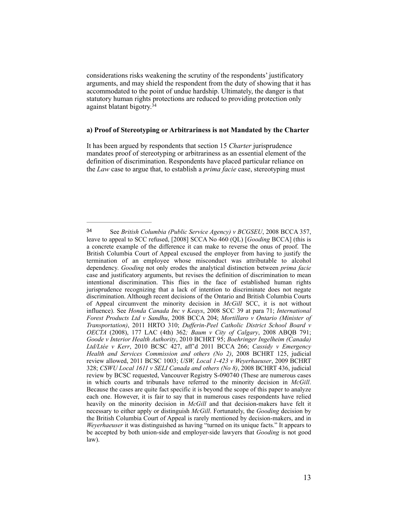considerations risks weakening the scrutiny of the respondents' justificatory arguments, and may shield the respondent from the duty of showing that it has accommodated to the point of undue hardship. Ultimately, the danger is that statutory human rights protections are reduced to providing protection only against blatant bigotry.34

#### **a) Proof of Stereotyping or Arbitrariness is not Mandated by the Charter**

It has been argued by respondents that section 15 *Charter* jurisprudence mandates proof of stereotyping or arbitrariness as an essential element of the definition of discrimination. Respondents have placed particular reliance on the *Law* case to argue that, to establish a *prima facie* case, stereotyping must

See *British Columbia (Public Service Agency) v BCGSEU*, 2008 BCCA 357, 34 leave to appeal to SCC refused, [2008] SCCA No 460 (QL) [*Gooding* BCCA] (this is a concrete example of the difference it can make to reverse the onus of proof. The British Columbia Court of Appeal excused the employer from having to justify the termination of an employee whose misconduct was attributable to alcohol dependency. *Gooding* not only erodes the analytical distinction between *prima facie* case and justificatory arguments, but revises the definition of discrimination to mean intentional discrimination. This flies in the face of established human rights jurisprudence recognizing that a lack of intention to discriminate does not negate discrimination. Although recent decisions of the Ontario and British Columbia Courts of Appeal circumvent the minority decision in *McGill* SCC, it is not without influence). See *Honda Canada Inc v Keays*, [2008 SCC 39](http://www.lexisnexis.com:80/ca/legal/search/runRemoteLink.do?langcountry=CA&linkInfo=F%2523CA%2523SCC%2523onum%252539%2525decisiondate%25252008%2525year%25252008%2525sel1%25252008%2525&risb=21_T11863483771&bct=A&service=citation&A=0.808916762826235) at para 71; *International Forest Products Ltd v Sandhu*, 2008 BCCA 204; *Mortillaro v Ontario (Minister of Transportation)*, 2011 HRTO 310; *Dufferin-Peel Catholic District School Board v OECTA* [\(2008\),](http://www.lexisnexis.com:80/ca/legal/search/runRemoteLink.do?langcountry=CA&linkInfo=F%2523CA%2523OLAA%2523year%25252008%2525sel1%25252008%2525ref%2525508%2525&risb=21_T11868457208&bct=A&service=citation&A=0.9487168566182149) 177 LAC (4th) 362*; Baum v City of Calgary*, [2008 ABQB 791;](http://www.lexisnexis.com:80/ca/legal/search/runRemoteLink.do?langcountry=CA&linkInfo=F%2523CA%2523ABQB%2523onum%2525791%2525decisiondate%25252008%2525year%25252008%2525sel1%25252008%2525&risb=21_T11868457208&bct=A&service=citation&A=0.8572824938663978) *Goode v Interior Health Authority*, 2010 BCHRT 95; *Boehringer Ingelheim (Canada) Ltd/Ltée v Kerr*[, 2010 BCSC 427, aff'd 2011 BCCA 266;](http://www.canlii.org/eliisa/highlight.do?text=Boehringer+Ingelheim+%2528Canada%2529+Ltd.+v.+Kerr+&language=en&searchTitle=Search+all+CanLII+Databases&path=/en/bc/bcsc/doc/2010/2010bcsc427/2010bcsc427.html) *Cassidy v Emergency Health and Services Commission and others (No 2)*, 2008 BCHRT 125, judicial review allowed, 2011 BCSC 1003; *USW, Local 1-423 v Weyerhaeuser*, 2009 BCHRT 328; *CSWU Local 1611 v SELI Canada and others (No 8)*, 2008 BCHRT 436, judicial [review by BCSC requested, Vancouver Registry S-090740 \(These are numerous cases](http://www.canlii.org/en/bc/bchrt/doc/2008/2008bchrt125/2008bchrt125.html)  in which courts and tribunals have referred to the minority decision in *McGill*. Because the cases are quite fact specific it is beyond the scope of this paper to analyze each one. However, it is fair to say that in numerous cases respondents have relied heavily on the minority decision in *McGill* and that decision-makers have felt it necessary to either apply or distinguish *McGill*. Fortunately, the *Gooding* decision by the British Columbia Court of Appeal is rarely mentioned by decision-makers, and in *Weyerhaeuser* it was distinguished as having "turned on its unique facts." It appears to be accepted by both union-side and employer-side lawyers that *Gooding* is not good law).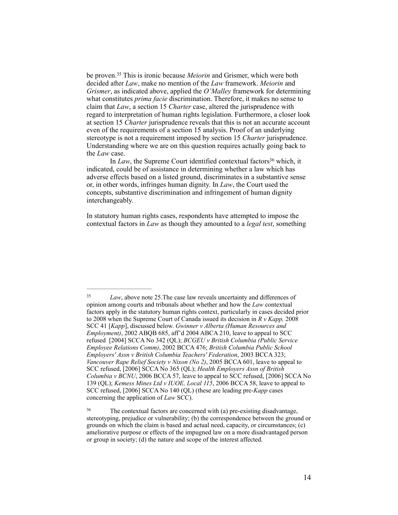be proven.<sup>35</sup> This is ironic because *Meiorin* and Grismer, which were both decided after *Law*, make no mention of the *Law* framework. *Meiorin* and *Grismer*, as indicated above, applied the *O'Malley* framework for determining what constitutes *prima facie* discrimination. Therefore, it makes no sense to claim that *Law*, a section 15 *Charter* case, altered the jurisprudence with regard to interpretation of human rights legislation. Furthermore, a closer look at section 15 *Charter* jurisprudence reveals that this is not an accurate account even of the requirements of a section 15 analysis. Proof of an underlying stereotype is not a requirement imposed by section 15 *Charter* jurisprudence. Understanding where we are on this question requires actually going back to the *Law* case.

In *Law*, the Supreme Court identified contextual factors<sup>36</sup> which, it indicated, could be of assistance in determining whether a law which has adverse effects based on a listed ground, discriminates in a substantive sense or, in other words, infringes human dignity. In *Law*, the Court used the concepts, substantive discrimination and infringement of human dignity interchangeably.

In statutory human rights cases, respondents have attempted to impose the contextual factors in *Law* as though they amounted to a *legal test*, something

<sup>&</sup>lt;sup>35</sup> Law, above note 25. The case law reveals uncertainty and differences of opinion among courts and tribunals about whether and how the *Law* contextual factors apply in the statutory human rights context, particularly in cases decided prior to 2008 when the Supreme Court of Canada issued its decision in *R v Kapp,* 2008 SCC 41 [*Kapp*], discussed below. *Gwinner v Alberta (Human Resources and Employment)*, 2002 ABQB 685, aff'd 2004 ABCA 210, leave to appeal to SCC refused [2004] SCCA No 342 (QL); *BCGEU v British Columbia (Public Service Employee Relations Comm)*, 2002 BCCA 476; *British Columbia Public School Employers' Assn v British Columbia Teachers' Federation*, 2003 BCCA 323; *Vancouver Rape Relief Society v Nixon (No 2)*, 2005 BCCA 601, leave to appeal to SCC refused, [2006] SCCA No 365 (QL); *Health Employers Assn of British Columbia v BCNU*, 2006 BCCA 57, leave to appeal to SCC refused, [2006] SCCA No 139 (QL); *Kemess Mines Ltd v IUOE, Local 115*, 2006 BCCA 58, leave to appeal to SCC refused, [2006] SCCA No 140 (QL) (these are leading pre-*Kapp* cases concerning the application of *Law* SCC).

The contextual factors are concerned with (a) pre-existing disadvantage, 36 stereotyping, prejudice or vulnerability; (b) the correspondence between the ground or grounds on which the claim is based and actual need, capacity, or circumstances; (c) ameliorative purpose or effects of the impugned law on a more disadvantaged person or group in society; (d) the nature and scope of the interest affected.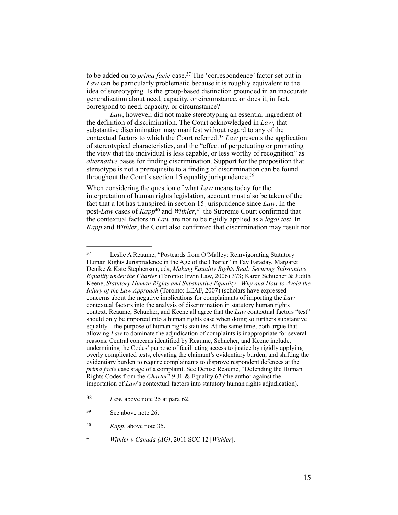to be added on to *prima facie* case.<sup>37</sup> The 'correspondence' factor set out in *Law* can be particularly problematic because it is roughly equivalent to the idea of stereotyping. Is the group-based distinction grounded in an inaccurate generalization about need, capacity, or circumstance, or does it, in fact, correspond to need, capacity, or circumstance?

*Law*, however, did not make stereotyping an essential ingredient of the definition of discrimination. The Court acknowledged in *Law*, that substantive discrimination may manifest without regard to any of the contextual factors to which the Court referred.<sup>38</sup> Law presents the application of stereotypical characteristics, and the "effect of perpetuating or promoting the view that the individual is less capable, or less worthy of recognition" as *alternative* bases for finding discrimination. Support for the proposition that stereotype is not a prerequisite to a finding of discrimination can be found throughout the Court's section 15 equality jurisprudence.<sup>39</sup>

When considering the question of what *Law* means today for the interpretation of human rights legislation, account must also be taken of the fact that a lot has transpired in section 15 jurisprudence since *Law*. In the post-*Law* cases of *Kapp*<sup>40</sup> and *Withler*,<sup>41</sup> the Supreme Court confirmed that the contextual factors in *Law* are not to be rigidly applied as a *legal test*. In *Kapp* and *Withler*, the Court also confirmed that discrimination may result not

Leslie A Reaume, "Postcards from O'Malley: Reinvigorating Statutory 37 Human Rights Jurisprudence in the Age of the Charter" in Fay Faraday, Margaret Denike & Kate Stephenson, eds, *Making Equality Rights Real: Securing Substantive Equality under the Charter* (Toronto: Irwin Law, 2006) 373; Karen Schucher & Judith Keene, *Statutory Human Rights and Substantive Equality - Why and How to Avoid the Injury of the Law Approach* (Toronto: LEAF, 2007) (scholars have expressed concerns about the negative implications for complainants of importing the *Law*  contextual factors into the analysis of discrimination in statutory human rights context. Reaume, Schucher, and Keene all agree that the *Law* contextual factors "test" should only be imported into a human rights case when doing so furthers substantive equality – the purpose of human rights statutes. At the same time, both argue that allowing *Law* to dominate the adjudication of complaints is inappropriate for several reasons. Central concerns identified by Reaume, Schucher, and Keene include, undermining the Codes' purpose of facilitating access to justice by rigidly applying overly complicated tests, elevating the claimant's evidentiary burden, and shifting the evidentiary burden to require complainants to disprove respondent defences at the *prima facie* case stage of a complaint. See Denise Réaume, "Defending the Human Rights Codes from the *Charter*" 9 JL & Equality 67 (the author against the importation of *Law*'s contextual factors into statutory human rights adjudication).

<sup>&</sup>lt;sup>38</sup> *Law*, above note 25 at para 62.

See above note 26. <sup>39</sup>

*Kapp*, above note 35. <sup>40</sup>

*Withler v Canada (AG)*, 2011 SCC 12 [*Withler*]. <sup>41</sup>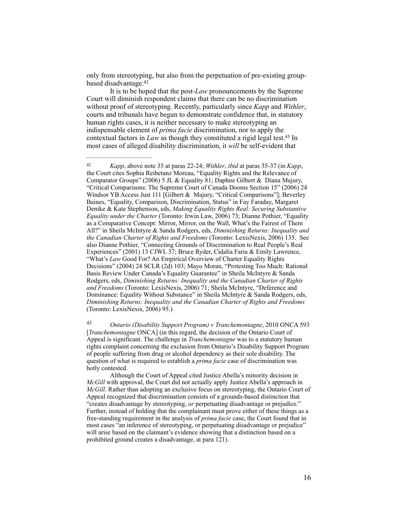only from stereotyping, but also from the perpetuation of pre-existing groupbased disadvantage. 42

It is to be hoped that the post-*Law* pronouncements by the Supreme Court will diminish respondent claims that there can be no discrimination without proof of stereotyping. Recently, particularly since *Kapp* and *Withler*, courts and tribunals have begun to demonstrate confidence that, in statutory human rights cases, it is neither necessary to make stereotyping an indispensable element of *prima facie* discrimination, nor to apply the contextual factors in  $Law$  as though they constituted a rigid legal test.<sup>43</sup> In most cases of alleged disability discrimination, it *will* be self-evident that

 *Ontario (Disability Support Program) v Tranchemontagne*, 2010 ONCA 593 43 [*Tranchemontagne* ONCA] (in this regard, the decision of the Ontario Court of Appeal is significant. The challenge in *Tranchemontagne* was to a statutory human rights complaint concerning the exclusion from Ontario's Disability Support Program of people suffering from drug or alcohol dependency as their sole disability. The question of what is required to establish a *prima facie* case of discrimination was hotly contested.

Although the Court of Appeal cited Justice Abella's minority decision in *McGill* with approval, the Court did not actually apply Justice Abella's approach in *McGill*. Rather than adopting an exclusive focus on stereotyping, the Ontario Court of Appeal recognized that discrimination consists of a grounds-based distinction that "creates disadvantage by stereotyping, *or* perpetuating disadvantage or prejudice." Further, instead of holding that the complainant must prove either of these things as a free-standing requirement in the analysis of *prima facie* case, the Court found that in most cases "an inference of stereotyping, or perpetuating disadvantage or prejudice" will arise based on the claimant's evidence showing that a distinction based on a prohibited ground creates a disadvantage, at para 121).

*Kapp*, above note 35 at paras 22-24; *Withler*, *ibid* at paras 35-37 (in *Kapp*, 42 the Court cites Sophia Reibetanz Moreau, "Equality Rights and the Relevance of Comparator Groups" (2006) 5 JL & Equality 81; Daphne Gilbert & Diana Majury, "Critical Comparisons: The Supreme Court of Canada Dooms Section 15" (2006) 24 Windsor YB Access Just 111 [Gilbert & Majury, "Critical Comparisons"]; Beverley Baines, "Equality, Comparison, Discrimination, Status" in Fay Faraday, Margaret Denike & Kate Stephenson, eds, *Making Equality Rights Real: Securing Substantive Equality under the Charter* (Toronto: Irwin Law, 2006) 73; Dianne Pothier, "Equality as a Comparative Concept: Mirror, Mirror, on the Wall, What's the Fairest of Them All?" in Sheila McIntyre & Sanda Rodgers, eds, *Diminishing Returns: Inequality and the Canadian Charter of Rights and Freedoms* (Toronto: LexisNexis, 2006) 135. See also Dianne Pothier, "Connecting Grounds of Discrimination to Real People's Real Experiences" (2001) 13 CJWL 37; Bruce Ryder, Cidalia Faria & Emily Lawrence, "What's *Law* Good For? An Empirical Overview of Charter Equality Rights Decisions" (2004) 24 SCLR (2d) 103; Mayo Moran, "Protesting Too Much: Rational Basis Review Under Canada's Equality Guarantee" in Sheila McIntyre & Sanda Rodgers, eds, *Diminishing Returns: Inequality and the Canadian Charter of Rights and Freedoms* (Toronto: LexisNexis, 2006) 71; Sheila McIntyre, "Deference and Dominance: Equality Without Substance" in Sheila McIntyre & Sanda Rodgers, eds, *Diminishing Returns: Inequality and the Canadian Charter of Rights and Freedoms* (Toronto: LexisNexis, 2006) 95.)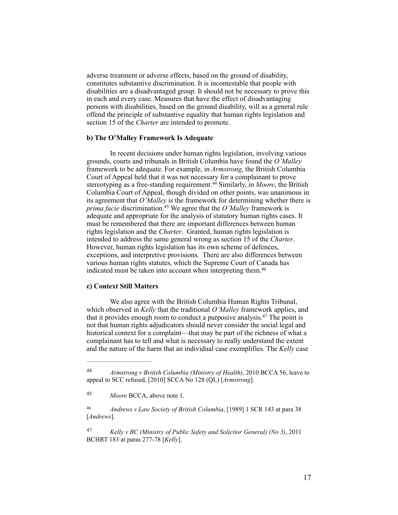adverse treatment or adverse effects, based on the ground of disability, constitutes substantive discrimination. It is incontestable that people with disabilities are a disadvantaged group. It should not be necessary to prove this in each and every case. Measures that have the effect of disadvantaging persons with disabilities, based on the ground disability, will as a general rule offend the principle of substantive equality that human rights legislation and section 15 of the *Charter* are intended to promote.

### **b) The O'Malley Framework Is Adequate**

In recent decisions under human rights legislation, involving various grounds, courts and tribunals in British Columbia have found the *O'Malley* framework to be adequate. For example, in *Armstrong*, the British Columbia Court of Appeal held that it was not necessary for a complainant to prove stereotyping as a free-standing requirement.<sup>44</sup> Similarly, in *Moore*, the British Columbia Court of Appeal, though divided on other points, was unanimous in its agreement that *O'Malley* is the framework for determining whether there is *prima facie* discrimination.<sup>45</sup> We agree that the *O'Malley* framework is adequate and appropriate for the analysis of statutory human rights cases. It must be remembered that there are important differences between human rights legislation and the *Charter*. Granted, human rights legislation is intended to address the same general wrong as section 15 of the *Charter*. However, human rights legislation has its own scheme of defences, exceptions, and interpretive provisions. There are also differences between various human rights statutes, which the Supreme Court of Canada has indicated must be taken into account when interpreting them.<sup>46</sup>

#### **c) Context Still Matters**

We also agree with the British Columbia Human Rights Tribunal, which observed in *Kelly* that the traditional *O'Malley* framework applies, and that it provides enough room to conduct a purposive analysis.<sup>47</sup> The point is not that human rights adjudicators should never consider the social legal and historical context for a complaint—that may be part of the richness of what a complainant has to tell and what is necessary to really understand the extent and the nature of the harm that an individual case exemplifies. The *Kelly* case

*Armstrong v British Columbia (Ministry of Health)*, [2010 BCCA 56,](http://www.lexisnexis.com:80/ca/legal/search/runRemoteLink.do?langcountry=CA&linkInfo=F%2523CA%2523BCCA%2523onum%252556%2525decisiondate%25252010%2525year%25252010%2525sel1%25252010%2525&risb=21_T11868457208&bct=A&service=citation&A=0.7558187261549291) leave to 44 appeal to SCC refused, [2010] SCCA No 128 (QL) [*Armstrong*].

*Moore* BCCA, above note 1. <sup>45</sup>

*Andrews v Law Society of British Columbia*, [1989] 1 SCR 143 at para 38 46 [*Andrews*].

*Kelly v BC (Ministry of Public Safety and Solicitor General) (No 3)*, 2011 47 BCHRT 183 at paras 277-78 [*Kelly*].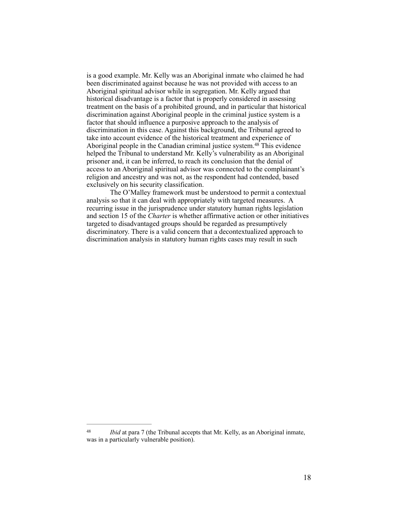is a good example. Mr. Kelly was an Aboriginal inmate who claimed he had been discriminated against because he was not provided with access to an Aboriginal spiritual advisor while in segregation. Mr. Kelly argued that historical disadvantage is a factor that is properly considered in assessing treatment on the basis of a prohibited ground, and in particular that historical discrimination against Aboriginal people in the criminal justice system is a factor that should influence a purposive approach to the analysis of discrimination in this case. Against this background, the Tribunal agreed to take into account evidence of the historical treatment and experience of Aboriginal people in the Canadian criminal justice system.<sup>48</sup> This evidence helped the Tribunal to understand Mr. Kelly's vulnerability as an Aboriginal prisoner and, it can be inferred, to reach its conclusion that the denial of access to an Aboriginal spiritual advisor was connected to the complainant's religion and ancestry and was not, as the respondent had contended, based exclusively on his security classification.

The O'Malley framework must be understood to permit a contextual analysis so that it can deal with appropriately with targeted measures. A recurring issue in the jurisprudence under statutory human rights legislation and section 15 of the *Charter* is whether affirmative action or other initiatives targeted to disadvantaged groups should be regarded as presumptively discriminatory. There is a valid concern that a decontextualized approach to discrimination analysis in statutory human rights cases may result in such

<sup>&</sup>lt;sup>48</sup> *Ibid* at para 7 (the Tribunal accepts that Mr. Kelly, as an Aboriginal inmate, was in a particularly vulnerable position).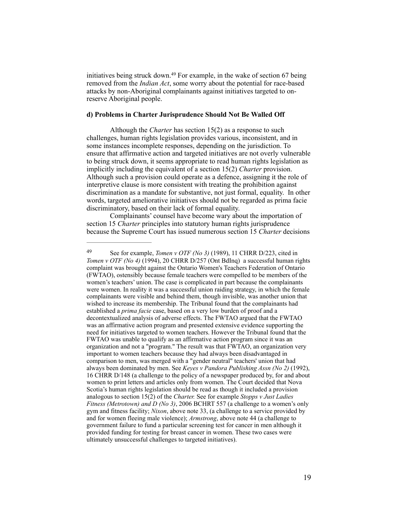initiatives being struck down.<sup>49</sup> For example, in the wake of section 67 being removed from the *Indian Act*, some worry about the potential for race-based attacks by non-Aboriginal complainants against initiatives targeted to onreserve Aboriginal people.

# **d) Problems in Charter Jurisprudence Should Not Be Walled Off**

Although the *Charter* has section 15(2) as a response to such challenges, human rights legislation provides various, inconsistent, and in some instances incomplete responses, depending on the jurisdiction. To ensure that affirmative action and targeted initiatives are not overly vulnerable to being struck down, it seems appropriate to read human rights legislation as implicitly including the equivalent of a section 15(2) *Charter* provision. Although such a provision could operate as a defence, assigning it the role of interpretive clause is more consistent with treating the prohibition against discrimination as a mandate for substantive, not just formal, equality. In other words, targeted ameliorative initiatives should not be regarded as prima facie discriminatory, based on their lack of formal equality.

Complainants' counsel have become wary about the importation of section 15 *Charter* principles into statutory human rights jurisprudence because the Supreme Court has issued numerous section 15 *Charter* decisions

See for example, *Tomen v OTF (No 3)* (1989), 11 CHRR D/223, cited in 49 *Tomen v OTF (No 4)* (1994), 20 CHRR D/257 (Ont BdInq) a successful human rights complaint was brought against the Ontario Women's Teachers Federation of Ontario (FWTAO), ostensibly because female teachers were compelled to be members of the women's teachers' union. The case is complicated in part because the complainants were women. In reality it was a successful union raiding strategy, in which the female complainants were visible and behind them, though invisible, was another union that wished to increase its membership. The Tribunal found that the complainants had established a *prima facie* case, based on a very low burden of proof and a decontextualized analysis of adverse effects. The FWTAO argued that the FWTAO was an affirmative action program and presented extensive evidence supporting the need for initiatives targeted to women teachers. However the Tribunal found that the FWTAO was unable to qualify as an affirmative action program since it was an organization and not a "program." The result was that FWTAO, an organization very important to women teachers because they had always been disadvantaged in comparison to men, was merged with a "gender neutral" teachers' union that had always been dominated by men. See *Keyes v Pandora Publishing Assn (No 2)* (1992), 16 CHRR D/148 (a challenge to the policy of a newspaper produced by, for and about women to print letters and articles only from women. The Court decided that Nova Scotia's human rights legislation should be read as though it included a provision analogous to section 15(2) of the *Charter.* See for example *Stopps v Just Ladies Fitness (Metrotown) and D (No 3)*, 2006 BCHRT 557 (a challenge to a women's only gym and fitness facility; *Nixon*, above note 33, (a challenge to a service provided by and for women fleeing male violence); *Armstrong*, above note 44 (a challenge to government failure to fund a particular screening test for cancer in men although it provided funding for testing for breast cancer in women. These two cases were ultimately unsuccessful challenges to targeted initiatives).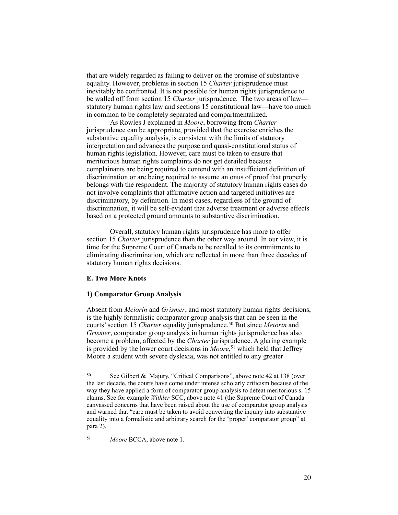that are widely regarded as failing to deliver on the promise of substantive equality. However, problems in section 15 *Charter* jurisprudence must inevitably be confronted. It is not possible for human rights jurisprudence to be walled off from section 15 *Charter* jurisprudence. The two areas of law statutory human rights law and sections 15 constitutional law—have too much in common to be completely separated and compartmentalized.

As Rowles J explained in *Moore*, borrowing from *Charter* jurisprudence can be appropriate, provided that the exercise enriches the substantive equality analysis, is consistent with the limits of statutory interpretation and advances the purpose and quasi-constitutional status of human rights legislation. However, care must be taken to ensure that meritorious human rights complaints do not get derailed because complainants are being required to contend with an insufficient definition of discrimination or are being required to assume an onus of proof that properly belongs with the respondent. The majority of statutory human rights cases do not involve complaints that affirmative action and targeted initiatives are discriminatory, by definition. In most cases, regardless of the ground of discrimination, it will be self-evident that adverse treatment or adverse effects based on a protected ground amounts to substantive discrimination.

Overall, statutory human rights jurisprudence has more to offer section 15 *Charter* jurisprudence than the other way around. In our view, it is time for the Supreme Court of Canada to be recalled to its commitments to eliminating discrimination, which are reflected in more than three decades of statutory human rights decisions.

# **E. Two More Knots**

#### **1) Comparator Group Analysis**

Absent from *Meiorin* and *Grismer*, and most statutory human rights decisions, is the highly formalistic comparator group analysis that can be seen in the courts' section 15 *Charter* equality jurisprudence.<sup>50</sup> But since *Meiorin* and *Grismer*, comparator group analysis in human rights jurisprudence has also become a problem, affected by the *Charter* jurisprudence. A glaring example is provided by the lower court decisions in  $Moore<sub>1</sub><sup>51</sup>$  which held that Jeffrey Moore a student with severe dyslexia, was not entitled to any greater

*Moore* BCCA, above note 1*.* <sup>51</sup>

See Gilbert & Majury, "Critical Comparisons", above note 42 at 138 (over 50 the last decade, the courts have come under intense scholarly criticism because of the way they have applied a form of comparator group analysis to defeat meritorious s. 15 claims. See for example *Withler* SCC, above note 41 (the Supreme Court of Canada canvassed concerns that have been raised about the use of comparator group analysis and warned that "care must be taken to avoid converting the inquiry into substantive equality into a formalistic and arbitrary search for the 'proper' comparator group" at para 2).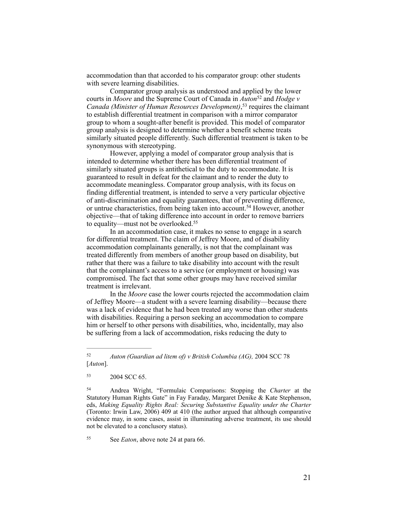accommodation than that accorded to his comparator group: other students with severe learning disabilities.

Comparator group analysis as understood and applied by the lower courts in *Moore* and the Supreme Court of Canada in *Auton*<sup>52</sup> and *Hodge v Canada (Minister of Human Resources Development)*,<sup>53</sup> requires the claimant to establish differential treatment in comparison with a mirror comparator group to whom a sought-after benefit is provided. This model of comparator group analysis is designed to determine whether a benefit scheme treats similarly situated people differently. Such differential treatment is taken to be synonymous with stereotyping.

However, applying a model of comparator group analysis that is intended to determine whether there has been differential treatment of similarly situated groups is antithetical to the duty to accommodate. It is guaranteed to result in defeat for the claimant and to render the duty to accommodate meaningless. Comparator group analysis, with its focus on finding differential treatment, is intended to serve a very particular objective of anti-discrimination and equality guarantees, that of preventing difference, or untrue characteristics, from being taken into account.<sup>54</sup> However, another objective—that of taking difference into account in order to remove barriers to equality—must not be overlooked. 55

In an accommodation case, it makes no sense to engage in a search for differential treatment. The claim of Jeffrey Moore, and of disability accommodation complainants generally, is not that the complainant was treated differently from members of another group based on disability, but rather that there was a failure to take disability into account with the result that the complainant's access to a service (or employment or housing) was compromised. The fact that some other groups may have received similar treatment is irrelevant.

 In the *Moore* case the lower courts rejected the accommodation claim of Jeffrey Moore—a student with a severe learning disability—because there was a lack of evidence that he had been treated any worse than other students with disabilities. Requiring a person seeking an accommodation to compare him or herself to other persons with disabilities, who, incidentally, may also be suffering from a lack of accommodation, risks reducing the duty to

See *Eaton*, above note 24 at para 66. <sup>55</sup>

<sup>&</sup>lt;sup>52</sup> *Auton (Guardian ad litem of) v British Columbia (AG),* 2004 SCC 78 [*Auton*].

<sup>53 2004</sup> SCC 65.

<sup>&</sup>lt;sup>54</sup> Andrea Wright, "Formulaic Comparisons: Stopping the *Charter* at the Statutory Human Rights Gate" in Fay Faraday, Margaret Denike & Kate Stephenson, eds, *Making Equality Rights Real: Securing Substantive Equality under the Charter* (Toronto: Irwin Law, 2006) 409 at 410 (the author argued that although comparative evidence may, in some cases, assist in illuminating adverse treatment, its use should not be elevated to a conclusory status).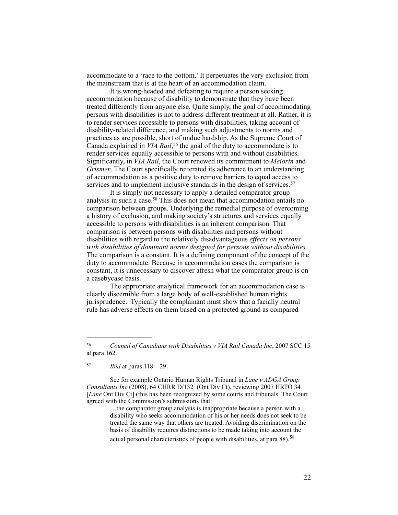accommodate to a 'race to the bottom.' It perpetuates the very exclusion from the mainstream that is at the heart of an accommodation claim.

It is wrong-headed and defeating to require a person seeking accommodation because of disability to demonstrate that they have been treated differently from anyone else. Quite simply, the goal of accommodating persons with disabilities is not to address different treatment at all. Rather, it is to render services accessible to persons with disabilities, taking account of disability-related difference, and making such adjustments to norms and practices as are possible, short of undue hardship. As the Supreme Court of Canada explained in *VIA Rail*,<sup>56</sup> the goal of the duty to accommodate is to render services equally accessible to persons with and without disabilities. Significantly, in *VIA Rail*, the Court renewed its commitment to *Meiorin* and *Grismer*. The Court specifically reiterated its adherence to an understanding of accommodation as a positive duty to remove barriers to equal access to services and to implement inclusive standards in the design of services.<sup>57</sup>

It is simply not necessary to apply a detailed comparator group analysis in such a case.<sup>58</sup> This does not mean that accommodation entails no comparison between groups. Underlying the remedial purpose of overcoming a history of exclusion, and making society's structures and services equally accessible to persons with disabilities is an inherent comparison. That comparison is between persons with disabilities and persons without disabilities with regard to the relatively disadvantageous *effects on persons with disabilities of dominant norms designed for persons without disabilities.*  The comparison is a constant. It is a defining component of the concept of the duty to accommodate. Because in accommodation cases the comparison is constant, it is unnecessary to discover afresh what the comparator group is on a casebycase basis.

The appropriate analytical framework for an accommodation case is clearly discernible from a large body of well-established human rights jurisprudence. Typically the complainant must show that a facially neutral rule has adverse effects on them based on a protected ground as compared

 $157$  *Ibid* at paras  $118 - 29$ .

 See for example Ontario Human Rights Tribunal in *Lane v ADGA Group Consultants Inc* (2008), 64 CHRR D/132 (Ont Div Ct), reviewing 2007 HRTO 34 [*Lane* Ont Div Ct] (this has been recognized by some courts and tribunals. The Court agreed with the Commission's submissions that:

> …the comparator group analysis is inappropriate because a person with a disability who seeks accommodation of his or her needs does not seek to be treated the same way that others are treated. Avoiding discrimination on the basis of disability requires distinctions to be made taking into account the actual personal characteristics of people with disabilities, at para 88).<sup>58</sup>

<sup>&</sup>lt;sup>56</sup> Council of Canadians with Disabilities v VIA Rail Canada Inc, 2007 SCC 15 at para 162.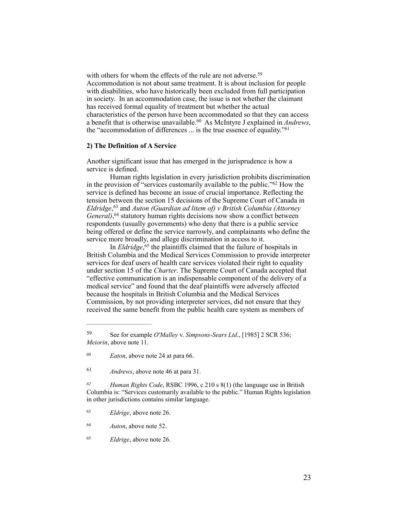with others for whom the effects of the rule are not adverse.<sup>59</sup> Accommodation is not about same treatment. It is about inclusion for people with disabilities, who have historically been excluded from full participation in society. In an accommodation case, the issue is not whether the claimant has received formal equality of treatment but whether the actual characteristics of the person have been accommodated so that they can access a benefit that is otherwise unavailable.<sup>60</sup> As McIntyre J explained in *Andrews*, the "accommodation of differences  $\ldots$  is the true essence of equality." <sup>61</sup>

#### **2) The Definition of A Service**

Another significant issue that has emerged in the jurisprudence is how a service is defined.

Human rights legislation in every jurisdiction prohibits discrimination in the provision of "services customarily available to the public." $62$  How the service is defined has become an issue of crucial importance. Reflecting the tension between the section 15 decisions of the Supreme Court of Canada in *Eldridge*,<sup>63</sup> and *Auton (Guardian ad litem of) v British Columbia (Attorney General*), <sup>64</sup> statutory human rights decisions now show a conflict between respondents (usually governments) who deny that there is a public service being offered or define the service narrowly, and complainants who define the service more broadly, and allege discrimination in access to it.

In *Eldridge*,<sup>65</sup> the plaintiffs claimed that the failure of hospitals in British Columbia and the Medical Services Commission to provide interpreter services for deaf users of health care services violated their right to equality under section 15 of the *Charter*. The Supreme Court of Canada accepted that "effective communication is an indispensable component of the delivery of a medical service" and found that the deaf plaintiffs were adversely affected because the hospitals in British Columbia and the Medical Services Commission, by not providing interpreter services, did not ensure that they received the same benefit from the public health care system as members of

See for example *O'Malley* v. *Simpsons-Sears Ltd.*, [1985] 2 SCR 536; *Meiorin*, above note 11.

<sup>&</sup>lt;sup>60</sup> *Eaton*, above note 24 at para 66.

<sup>&</sup>lt;sup>61</sup> *Andrews*, above note 46 at para 31.

*Human Rights Code*, RSBC 1996, c 210 s 8(1) (the language use in British *<sup>62</sup>* Columbia is: "Services customarily available to the public." Human Rights legislation in other jurisdictions contains similar language.

<sup>&</sup>lt;sup>63</sup> *Eldrige*, above note 26.

*Auton*, above note 52. <sup>64</sup>

<sup>&</sup>lt;sup>65</sup> *Eldrige*, above note 26.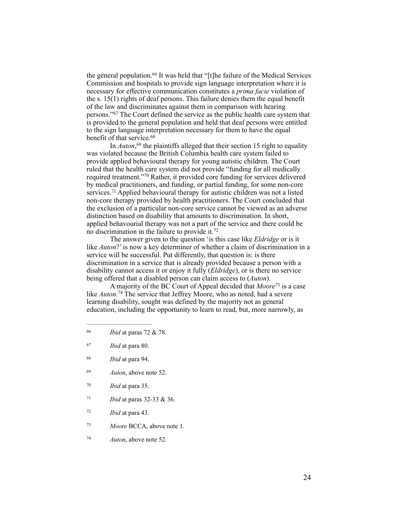the general population.<sup>66</sup> It was held that "[t]he failure of the Medical Services Commission and hospitals to provide sign language interpretation where it is necessary for effective communication constitutes a *prima facie* violation of the s. 15(1) rights of deaf persons. This failure denies them the equal benefit of the law and discriminates against them in comparison with hearing persons."<sup>67</sup> The Court defined the service as the public health care system that is provided to the general population and held that deaf persons were entitled to the sign language interpretation necessary for them to have the equal benefit of that service. 68

In  $Auton$ , <sup>69</sup> the plaintiffs alleged that their section 15 right to equality was violated because the British Columbia health care system failed to provide applied behavioural therapy for young autistic children. The Court ruled that the health care system did not provide "funding for all medically required treatment."<sup>70</sup> Rather, it provided core funding for services delivered by medical practitioners, and funding, or partial funding, for some non-core services.<sup>71</sup> Applied behavioural therapy for autistic children was not a listed non-core therapy provided by health practitioners. The Court concluded that the exclusion of a particular non-core service cannot be viewed as an adverse distinction based on disability that amounts to discrimination. In short, applied behavourial therapy was not a part of the service and there could be no discrimination in the failure to provide it.72

The answer given to the question 'is this case like *Eldridge* or is it like *Auton*?' is now a key determiner of whether a claim of discrimination in a service will be successful. Put differently, that question is: is there discrimination in a service that is already provided because a person with a disability cannot access it or enjoy it fully (*Eldridge*), or is there no service being offered that a disabled person can claim access to (*Auton*).

A majority of the BC Court of Appeal decided that *Moore*<sup>73</sup> is a case like *Auton*<sup>74</sup> The service that Jeffrey Moore, who as noted, had a severe learning disability, sought was defined by the majority not as general education, including the opportunity to learn to read, but, more narrowly, as

- <sup>69</sup> *Auton*, above note 52.
- <sup>70</sup> *Ibid* at para 35.
- *Ibid* at paras 32-33 & 36.
- *Ibid* at para 43. <sup>72</sup>
- *Moore* BCCA, above note 1. <sup>73</sup>
- *Auton*, above note 52. <sup>74</sup>

*Ibid* at paras 72 & 78. <sup>66</sup>

*Ibid* at para 80. <sup>67</sup>

*Ibid* at para 94. <sup>68</sup>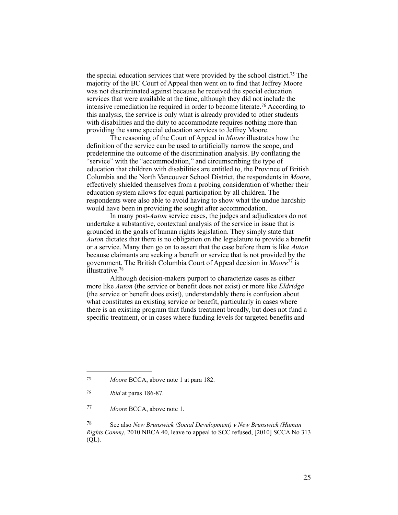the special education services that were provided by the school district.<sup>75</sup> The majority of the BC Court of Appeal then went on to find that Jeffrey Moore was not discriminated against because he received the special education services that were available at the time, although they did not include the intensive remediation he required in order to become literate.<sup>76</sup> According to this analysis, the service is only what is already provided to other students with disabilities and the duty to accommodate requires nothing more than providing the same special education services to Jeffrey Moore.

The reasoning of the Court of Appeal in *Moore* illustrates how the definition of the service can be used to artificially narrow the scope, and predetermine the outcome of the discrimination analysis. By conflating the "service" with the "accommodation," and circumscribing the type of education that children with disabilities are entitled to, the Province of British Columbia and the North Vancouver School District, the respondents in *Moore*, effectively shielded themselves from a probing consideration of whether their education system allows for equal participation by all children. The respondents were also able to avoid having to show what the undue hardship would have been in providing the sought after accommodation.

 In many post-*Auton* service cases, the judges and adjudicators do not undertake a substantive, contextual analysis of the service in issue that is grounded in the goals of human rights legislation. They simply state that *Auton* dictates that there is no obligation on the legislature to provide a benefit or a service. Many then go on to assert that the case before them is like *Auton* because claimants are seeking a benefit or service that is not provided by the government. The British Columbia Court of Appeal decision in *Moore*<sup>77</sup> is illustrative.78

Although decision-makers purport to characterize cases as either more like *Auton* (the service or benefit does not exist) or more like *Eldridge* (the service or benefit does exist), understandably there is confusion about what constitutes an existing service or benefit, particularly in cases where there is an existing program that funds treatment broadly, but does not fund a specific treatment, or in cases where funding levels for targeted benefits and

*Moore* BCCA, above note 1 at para 182. <sup>75</sup>

*Ibid* at paras 186-87.

*Moore* BCCA, above note 1. <sup>77</sup>

See also *New Brunswick (Social Development) v New Brunswick (Human* <sup>78</sup> *Rights Comm)*, 2010 NBCA 40, leave to appeal to SCC refused, [2010] SCCA No 313 (QL).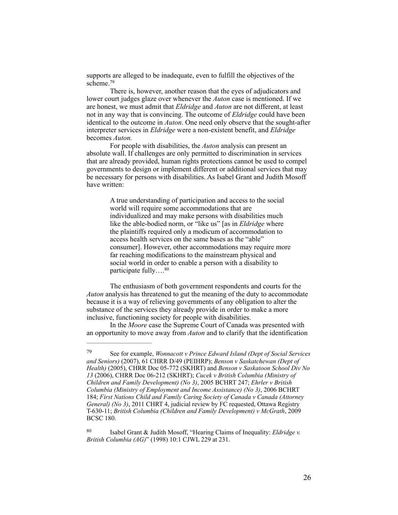supports are alleged to be inadequate, even to fulfill the objectives of the scheme.79

There is, however, another reason that the eyes of adjudicators and lower court judges glaze over whenever the *Auton* case is mentioned. If we are honest, we must admit that *Eldridge* and *Auton* are not different, at least not in any way that is convincing. The outcome of *Eldridge* could have been identical to the outcome in *Auton*. One need only observe that the sought-after interpreter services in *Eldridge* were a non-existent benefit, and *Eldridge* becomes *Auton.* 

For people with disabilities, the *Auton* analysis can present an absolute wall. If challenges are only permitted to discrimination in services that are already provided, human rights protections cannot be used to compel governments to design or implement different or additional services that may be necessary for persons with disabilities. As Isabel Grant and Judith Mosoff have written:

> A true understanding of participation and access to the social world will require some accommodations that are individualized and may make persons with disabilities much like the able-bodied norm, or "like us" [as in *Eldridge* where the plaintiffs required only a modicum of accommodation to access health services on the same bases as the "able" consumer]. However, other accommodations may require more far reaching modifications to the mainstream physical and social world in order to enable a person with a disability to participate fully....<sup>80</sup>

The enthusiasm of both government respondents and courts for the *Auton* analysis has threatened to gut the meaning of the duty to accommodate because it is a way of relieving governments of any obligation to alter the substance of the services they already provide in order to make a more inclusive, functioning society for people with disabilities.

In the *Moore* case the Supreme Court of Canada was presented with an opportunity to move away from *Auton* and to clarify that the identification

See for example, *Wonnacott v Prince Edward Island (Dept of Social Services* <sup>79</sup> *and Seniors)* (2007), 61 CHRR D/49 (PEIHRP); *Benson v Saskatchewan (Dept of Health)* (2005), CHRR Doc 05-772 (SKHRT) and *Benson v Saskatoon School Div No 13* (2006), CHRR Doc 06-212 (SKHRT); *Cucek v British Columbia (Ministry of Children and Family Development) (No 3)*, 2005 BCHRT 247; *Ehrler v British Columbia (Ministry of Employment and Income Assistance) (No 3)*, 2006 BCHRT 184; *First Nations Child and Family Caring Society of Canada v Canada (Attorney General) (No 3)*, 2011 CHRT 4, judicial review by FC requested, Ottawa Registry T-630-11; *British Columbia (Children and Family Development) v McGrath*, 2009 BCSC 180.

Isabel Grant & Judith Mosoff, "Hearing Claims of Inequality: *Eldridge v.* <sup>80</sup> *British Columbia (AG)*" [\(1998\) 10:1 CJWL 229](http://ezproxy.library.ubc.ca/login?url=http://www.heinonline.org/HOL/Page?handle=hein.journals/cajwol10&id=249&collection=journals&index=journals/cajwol) at 231.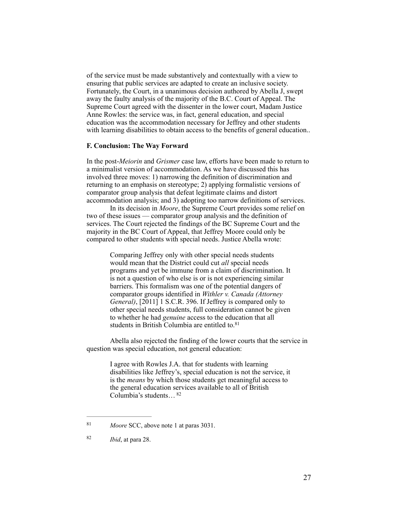of the service must be made substantively and contextually with a view to ensuring that public services are adapted to create an inclusive society. Fortunately, the Court, in a unanimous decision authored by Abella J, swept away the faulty analysis of the majority of the B.C. Court of Appeal. The Supreme Court agreed with the dissenter in the lower court, Madam Justice Anne Rowles: the service was, in fact, general education, and special education was the accommodation necessary for Jeffrey and other students with learning disabilities to obtain access to the benefits of general education..

#### **F. Conclusion: The Way Forward**

In the post-*Meiorin* and *Grismer* case law, efforts have been made to return to a minimalist version of accommodation. As we have discussed this has involved three moves: 1) narrowing the definition of discrimination and returning to an emphasis on stereotype; 2) applying formalistic versions of comparator group analysis that defeat legitimate claims and distort accommodation analysis; and 3) adopting too narrow definitions of services.

In its decision in *Moore*, the Supreme Court provides some relief on two of these issues — comparator group analysis and the definition of services. The Court rejected the findings of the BC Supreme Court and the majority in the BC Court of Appeal, that Jeffrey Moore could only be compared to other students with special needs. Justice Abella wrote:

> Comparing Jeffrey only with other special needs students would mean that the District could cut *all* special needs programs and yet be immune from a claim of discrimination. It is not a question of who else is or is not experiencing similar barriers. This formalism was one of the potential dangers of comparator groups identified in *Withler v. Canada (Attorney General)*, [2011] 1 S.C.R. 396. If Jeffrey is compared only to other special needs students, full consideration cannot be given to whether he had *genuine* access to the education that all students in British Columbia are entitled to.<sup>81</sup>

Abella also rejected the finding of the lower courts that the service in question was special education, not general education:

> I agree with Rowles J.A. that for students with learning disabilities like Jeffrey's, special education is not the service, it is the *means* by which those students get meaningful access to the general education services available to all of British Columbia's students… <sup>82</sup>

<sup>&</sup>lt;sup>81</sup> *Moore* SCC, above note 1 at paras 3031.

 $182$  *Ibid*, at para 28.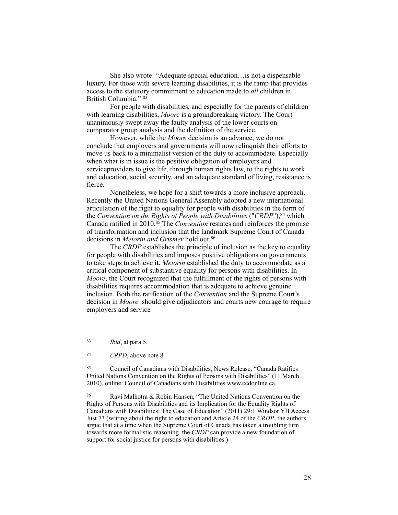She also wrote: "Adequate special education…is not a dispensable luxury. For those with severe learning disabilities, it is the ramp that provides access to the statutory commitment to education made to *all* children in British Columbia." 83

 For people with disabilities, and especially for the parents of children with learning disabilities, *Moore* is a groundbreaking victory. The Court unanimously swept away the faulty analysis of the lower courts on comparator group analysis and the definition of the service.

However, while the *Moore* decision is an advance, we do not conclude that employers and governments will now relinquish their efforts to move us back to a minimalist version of the duty to accommodate. Especially when what is in issue is the positive obligation of employers and serviceproviders to give life, through human rights law, to the rights to work and education, social security, and an adequate standard of living, resistance is fierce.

Nonetheless, we hope for a shift towards a more inclusive approach. Recently the United Nations General Assembly adopted a new international articulation of the right to equality for people with disabilities in the form of the *Convention on the Rights of People with Disabilities* ("*CRDP*"), <sup>84</sup> which Canada ratified in 2010.<sup>85</sup> The *Convention* restates and reinforces the promise of transformation and inclusion that the landmark Supreme Court of Canada decisions in *Meiorin and Grismer* hold out. 86

The *CRDP* establishes the principle of inclusion as the key to equality for people with disabilities and imposes positive obligations on governments to take steps to achieve it. *Meiorin* established the duty to accommodate as a critical component of substantive equality for persons with disabilities. In *Moore*, the Court recognized that the fulfillment of the rights of persons with disabilities requires accommodation that is adequate to achieve genuine inclusion. Both the ratification of the *Convention* and the Supreme Court's decision in *Moore* should give adjudicators and courts new courage to require employers and service

<sup>85</sup> Council of Canadians with Disabilities, News Release, "Canada Ratifies United Nations Convention on the Rights of Persons with Disabilities" (11 March 2010), online: Council of Canadians with Disabilities www.ccdonline.ca.

86 Ravi Malhotra & Robin Hansen, "The United Nations Convention on the Rights of Persons with Disabilities and its Implication for the Equality Rights of Canadians with Disabilities: The Case of Education" (2011) 29:1 Windsor YB Access Just 73 (writing about the right to education and Article 24 of the *CRDP*, the authors argue that at a time when the Supreme Court of Canada has taken a troubling turn towards more formalistic reasoning, the *CRDP* can provide a new foundation of support for social justice for persons with disabilities.)

*Ibid*, at para 5. <sup>83</sup>

<sup>&</sup>lt;sup>84</sup> CRPD, above note 8.